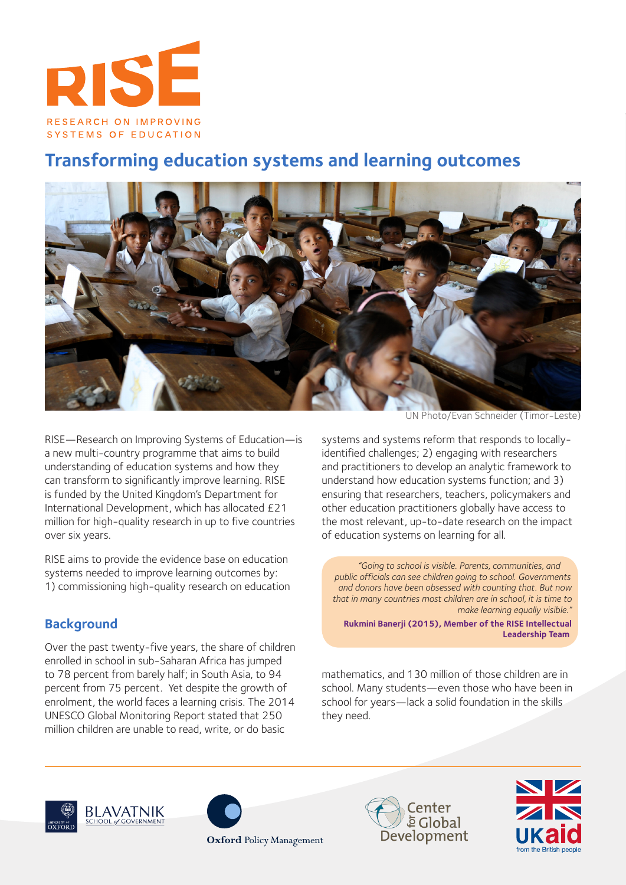

# **Transforming education systems and learning outcomes**



RISE—Research on Improving Systems of Education—is a new multi-country programme that aims to build understanding of education systems and how they can transform to significantly improve learning. RISE is funded by the United Kingdom's Department for International Development, which has allocated £21 million for high-quality research in up to five countries over six years.

RISE aims to provide the evidence base on education systems needed to improve learning outcomes by: 1) commissioning high-quality research on education

# **Background**

Over the past twenty-five years, the share of children enrolled in school in sub-Saharan Africa has jumped to 78 percent from barely half; in South Asia, to 94 percent from 75 percent. Yet despite the growth of enrolment, the world faces a learning crisis. The 2014 UNESCO Global Monitoring Report stated that 250 million children are unable to read, write, or do basic

UN Photo/Evan Schneider (Timor-Leste)

systems and systems reform that responds to locallyidentified challenges; 2) engaging with researchers and practitioners to develop an analytic framework to understand how education systems function; and 3) ensuring that researchers, teachers, policymakers and other education practitioners globally have access to the most relevant, up-to-date research on the impact of education systems on learning for all.

*"Going to school is visible. Parents, communities, and public officials can see children going to school. Governments and donors have been obsessed with counting that. But now that in many countries most children are in school, it is time to make learning equally visible."* 

**Rukmini Banerji (2015), Member of the RISE Intellectual Leadership Team** 

mathematics, and 130 million of those children are in school. Many students—even those who have been in school for years—lack a solid foundation in the skills they need.